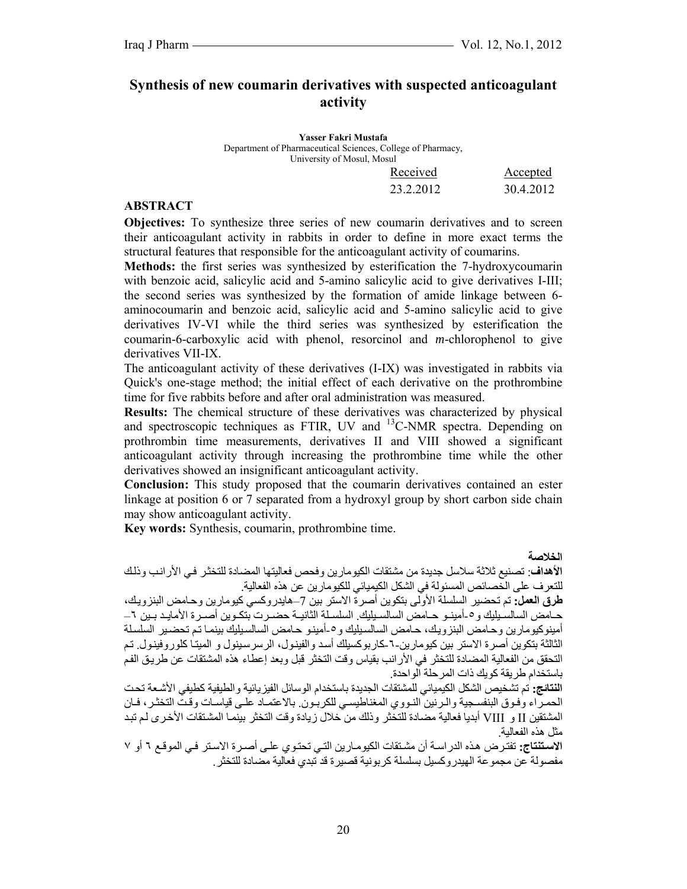# **Synthesis of new coumarin derivatives with suspected anticoagulant activity**

**Yasser Fakri Mustafa**  Department of Pharmaceutical Sciences, College of Pharmacy, University of Mosul, Mosul

| Received  | Accepted  |
|-----------|-----------|
| 23.2.2012 | 30.4.2012 |

### **ABSTRACT**

**Objectives:** To synthesize three series of new coumarin derivatives and to screen their anticoagulant activity in rabbits in order to define in more exact terms the structural features that responsible for the anticoagulant activity of coumarins.

**Methods:** the first series was synthesized by esterification the 7-hydroxycoumarin with benzoic acid, salicylic acid and 5-amino salicylic acid to give derivatives I-III; the second series was synthesized by the formation of amide linkage between 6 aminocoumarin and benzoic acid, salicylic acid and 5-amino salicylic acid to give derivatives IV-VI while the third series was synthesized by esterification the coumarin-6-carboxylic acid with phenol, resorcinol and *m*-chlorophenol to give derivatives VII-IX.

The anticoagulant activity of these derivatives (I-IX) was investigated in rabbits via Quick's one-stage method; the initial effect of each derivative on the prothrombine time for five rabbits before and after oral administration was measured.

**Results:** The chemical structure of these derivatives was characterized by physical and spectroscopic techniques as FTIR, UV and <sup>13</sup>C-NMR spectra. Depending on prothrombin time measurements, derivatives II and VIII showed a significant anticoagulant activity through increasing the prothrombine time while the other derivatives showed an insignificant anticoagulant activity.

**Conclusion:** This study proposed that the coumarin derivatives contained an ester linkage at position 6 or 7 separated from a hydroxyl group by short carbon side chain may show anticoagulant activity.

**Key words:** Synthesis, coumarin, prothrombine time.

**الخلاصة** 

**الأهداف**: تصنيع ثلاثة سلاسل جديدة من مشتقات الكيومارين وفحص فعاليتها المضادة للتخثѧر فѧي الأرانѧب وذلѧك للتعرف على الخصائص المسئولة في الشكل الكيميائي للكيومارين عن هذه الفعالية.

**طرق العمل:** تم تحضير السلسلة الأولى بتكوين أصرة الاستر بين 7–هايدروآسي آيومارين وحѧامض البنزويѧك، حـامض السالسـيليك و0-أمينـو حـامض السالسـيليك. السلسـلة الثانيـة حضـرت بتكـوين أصـرة الأمايـد بـين ٦– أمينوكيومارين وحامض البنزويك، حامض السالسيليك و0-أمينو حامض السالسيليك بينمـا تم تحضـير السلسلة الثالثة بتكوين أصرة الاستر بين كيومارين-٦-كاربوكسيلك أسد والفينول، الرسرسينول و الميتا كلوروفينول. تم التحقق من الفعالية المضادة للتخثر في الأرانب بقياس وقت التخثر قبل وبعد إعطاء هذه المشتقات عن طريق الفم باستخدام طر يقة كو يك ذات المر حلة الو احدة.

**النتائج:** تم تشخيص الشكل الكيميائي للمشتقات الجديدة باستخدام الوسائل الفيزيائية والطيفية آطيفي الأشѧعة تحѧت الحمراء وفوق البنفسجية والرنين النووي المغناطيسي للكربون. بالاعتمـاد علـي قياسـات وقت التخثر، فـان المشتقين II و VIII أبديا فعالية مضادة للتخثر وذلك من خلال زيادة وقت التخثر بينمـا المشتقات الأخرى لم تبد مثل هذه الفعالية.

الاست**نتاج:** تفتّرض هذه الدراسة أن مشتقات الكيومارين التي تحتوي على أصدرة الاستر في الموقـع ٦ أو ٧ مفصولة عن مجمو عة الهيدر و كسيل بسلسلة كر بو نية قصير ة قد تبدي فعالية مضادة للتخثر .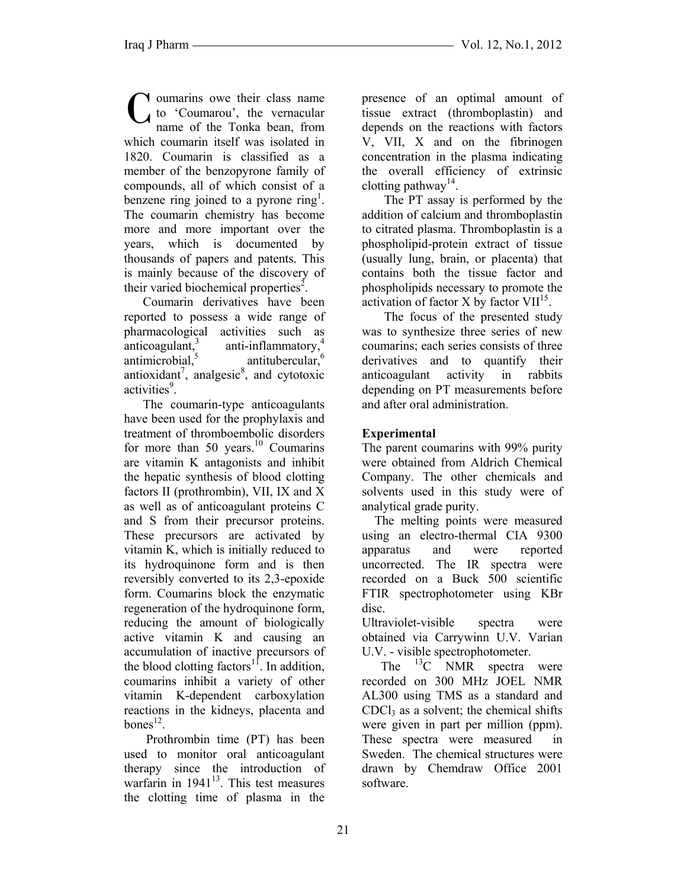oumarins owe their class name to 'Coumarou', the vernacular name of the Tonka bean, from which coumarin itself was isolated in 1820. Coumarin is classified as a member of the benzopyrone family of compounds, all of which consist of a benzene ring joined to a pyrone ring<sup>1</sup>. The coumarin chemistry has become more and more important over the years, which is documented by thousands of papers and patents. This is mainly because of the discovery of their varied biochemical properties<sup>2</sup>. C

 Coumarin derivatives have been reported to possess a wide range of pharmacological activities such as anticoagulant, $3$ anti-inflammatory,<sup>4</sup>  $antimicrobial<sup>5</sup>$ antitubercular, $6\frac{1}{6}$ antioxidant<sup>7</sup>, analgesic<sup>8</sup>, and cytotoxic activities<sup>9</sup>.

 The coumarin-type anticoagulants have been used for the prophylaxis and treatment of thromboembolic disorders for more than 50 years.<sup>10</sup> Coumarins are vitamin K antagonists and inhibit the hepatic synthesis of blood clotting factors II (prothrombin), VII, IX and X as well as of anticoagulant proteins C and S from their precursor proteins. These precursors are activated by vitamin K, which is initially reduced to its hydroquinone form and is then reversibly converted to its 2,3-epoxide form. Coumarins block the enzymatic regeneration of the hydroquinone form, reducing the amount of biologically active vitamin K and causing an accumulation of inactive precursors of the blood clotting factors<sup>11</sup>. In addition, coumarins inhibit a variety of other vitamin K-dependent carboxylation reactions in the kidneys, placenta and  $hones$ <sup>12</sup>

 Prothrombin time (PT) has been used to monitor oral anticoagulant therapy since the introduction of warfarin in  $1941^{13}$ . This test measures the clotting time of plasma in the

presence of an optimal amount of tissue extract (thromboplastin) and depends on the reactions with factors V, VII, X and on the fibrinogen concentration in the plasma indicating the overall efficiency of extrinsic clotting pathway<sup>14</sup>.

 The PT assay is performed by the addition of calcium and thromboplastin to citrated plasma. Thromboplastin is a phospholipid-protein extract of tissue (usually lung, brain, or placenta) that contains both the tissue factor and phospholipids necessary to promote the activation of factor X by factor  $VII<sup>15</sup>$ .

 The focus of the presented study was to synthesize three series of new coumarins; each series consists of three derivatives and to quantify their anticoagulant activity in rabbits depending on PT measurements before and after oral administration.

## **Experimental**

The parent coumarins with 99% purity were obtained from Aldrich Chemical Company. The other chemicals and solvents used in this study were of analytical grade purity.

 The melting points were measured using an electro-thermal CIA 9300 apparatus and were reported uncorrected. The IR spectra were recorded on a Buck 500 scientific FTIR spectrophotometer using KBr disc.

Ultraviolet-visible spectra were obtained via Carrywinn U.V. Varian U.V. - visible spectrophotometer.

The  $^{13}$ C NMR spectra were recorded on 300 MHz JOEL NMR AL300 using TMS as a standard and  $CDC<sub>13</sub>$  as a solvent; the chemical shifts were given in part per million (ppm). These spectra were measured in Sweden. The chemical structures were drawn by Chemdraw Office 2001 software.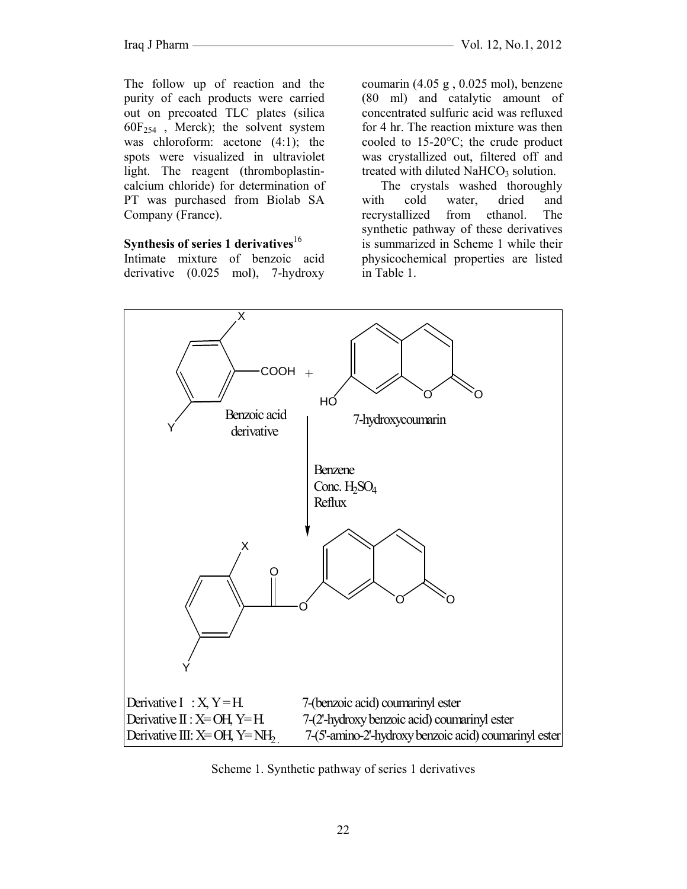The follow up of reaction and the purity of each products were carried out on precoated TLC plates (silica  $60F_{254}$ , Merck); the solvent system was chloroform: acetone (4:1); the spots were visualized in ultraviolet light. The reagent (thromboplastincalcium chloride) for determination of PT was purchased from Biolab SA Company (France).

### **Synthesis of series 1 derivatives**<sup>16</sup>

Intimate mixture of benzoic acid derivative (0.025 mol), 7-hydroxy coumarin (4.05 g , 0.025 mol), benzene (80 ml) and catalytic amount of concentrated sulfuric acid was refluxed for 4 hr. The reaction mixture was then cooled to 15-20°C; the crude product was crystallized out, filtered off and treated with diluted  $NAHCO<sub>3</sub>$  solution.

 The crystals washed thoroughly with cold water, dried and recrystallized from ethanol. The synthetic pathway of these derivatives is summarized in Scheme 1 while their physicochemical properties are listed in Table 1.



Scheme 1. Synthetic pathway of series 1 derivatives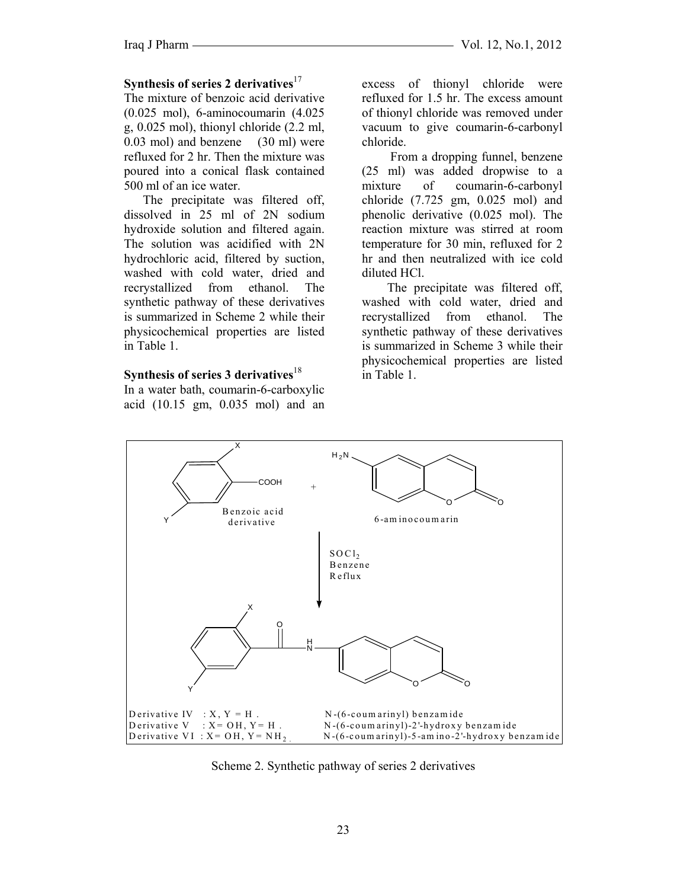### Synthesis of series 2 derivatives<sup>17</sup>

The mixture of benzoic acid derivative  $(0.025 \text{ mol})$ , 6-aminocoumarin  $(4.025 \text{ mol})$ g,  $0.025$  mol), thionyl chloride  $(2.2 \text{ ml},$  $(0.03 \text{ mol})$  and benzene  $(30 \text{ ml})$  were refluxed for 2 hr. Then the mixture was poured into a conical flask contained 500 ml of an ice water.

The precipitate was filtered off, dissolved in 25 ml of 2N sodium hydroxide solution and filtered again. The solution was acidified with 2N hydrochloric acid, filtered by suction, washed with cold water, dried and recrystallized from ethanol. The synthetic pathway of these derivatives is summarized in Scheme 2 while their physicochemical properties are listed in Table 1.

#### Synthesis of series 3 derivatives  $18$

In a water bath, coumarin-6-carboxylic acid (10.15 gm, 0.035 mol) and an

excess of thionyl chloride were refluxed for 1.5 hr. The excess amount of thionyl chloride was removed under vacuum to give coumarin-6-carbonyl chloride.

From a dropping funnel, benzene (25 ml) was added dropwise to a mixture of coumarin-6-carbonyl chloride  $(7.725 \text{ gm}, 0.025 \text{ mol})$  and phenolic derivative (0.025 mol). The reaction mixture was stirred at room temperature for 30 min, refluxed for 2 hr and then neutralized with ice cold diluted HCl.

The precipitate was filtered off, washed with cold water, dried and recrystallized from ethanol. The synthetic pathway of these derivatives is summarized in Scheme 3 while their physicochemical properties are listed in Table 1



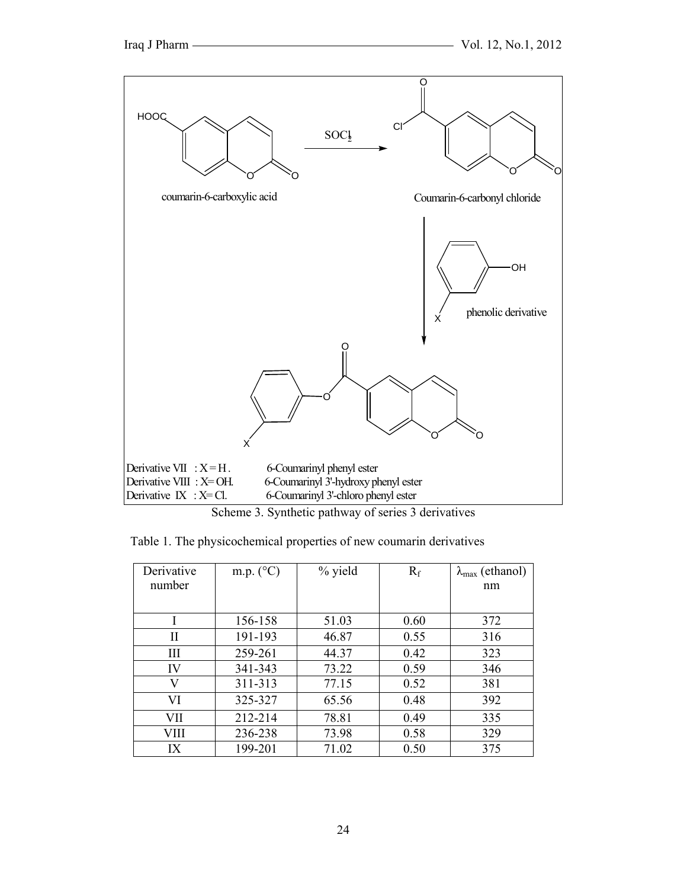

Scheme 3. Synthetic pathway of series 3 derivatives

| Table 1. The physicochemical properties of new coumarin derivatives |  |
|---------------------------------------------------------------------|--|

| Derivative<br>number | m.p. $(^{\circ}C)$ | % yield | $R_f$ | $\lambda_{\text{max}}$ (ethanol)<br>nm |
|----------------------|--------------------|---------|-------|----------------------------------------|
|                      |                    |         |       |                                        |
|                      | 156-158            | 51.03   | 0.60  | 372                                    |
| Н                    | 191-193            | 46.87   | 0.55  | 316                                    |
| III                  | 259-261            | 44.37   | 0.42  | 323                                    |
| IV                   | 341-343            | 73.22   | 0.59  | 346                                    |
| V                    | 311-313            | 77.15   | 0.52  | 381                                    |
| VI                   | 325-327            | 65.56   | 0.48  | 392                                    |
| VII                  | 212-214            | 78.81   | 0.49  | 335                                    |
| VIII                 | 236-238            | 73.98   | 0.58  | 329                                    |
| IX                   | 199-201            | 71.02   | 0.50  | 375                                    |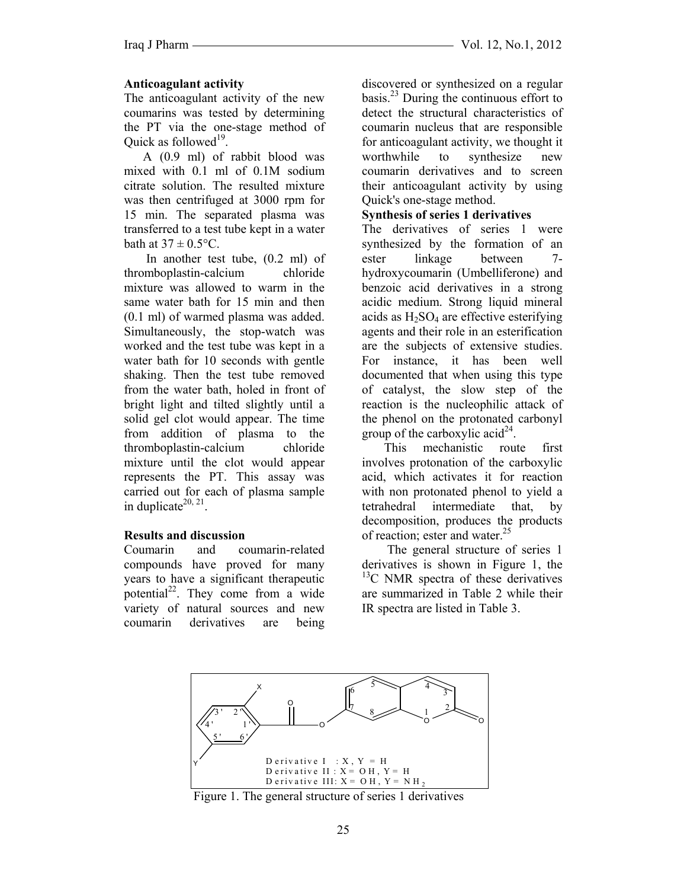## **Anticoagulant activity**

The anticoagulant activity of the new coumarins was tested by determining the PT via the one-stage method of Ouick as followed<sup>19</sup>.

 A (0.9 ml) of rabbit blood was mixed with 0.1 ml of 0.1M sodium citrate solution. The resulted mixture was then centrifuged at 3000 rpm for 15 min. The separated plasma was transferred to a test tube kept in a water bath at  $37 \pm 0.5$ °C.

 In another test tube, (0.2 ml) of thromboplastin-calcium chloride mixture was allowed to warm in the same water bath for 15 min and then (0.1 ml) of warmed plasma was added. Simultaneously, the stop-watch was worked and the test tube was kept in a water bath for 10 seconds with gentle shaking. Then the test tube removed from the water bath, holed in front of bright light and tilted slightly until a solid gel clot would appear. The time from addition of plasma to the thromboplastin-calcium chloride mixture until the clot would appear represents the PT. This assay was carried out for each of plasma sample in duplicate<sup>20, 21</sup>.

## **Results and discussion**

Coumarin and coumarin-related compounds have proved for many years to have a significant therapeutic potential $^{22}$ . They come from a wide variety of natural sources and new coumarin derivatives are being discovered or synthesized on a regular basis. $^{23}$  During the continuous effort to detect the structural characteristics of coumarin nucleus that are responsible for anticoagulant activity, we thought it worthwhile to synthesize new coumarin derivatives and to screen their anticoagulant activity by using Quick's one-stage method.

## **Synthesis of series 1 derivatives**

The derivatives of series 1 were synthesized by the formation of an ester linkage between 7 hydroxycoumarin (Umbelliferone) and benzoic acid derivatives in a strong acidic medium. Strong liquid mineral acids as  $H_2SO_4$  are effective esterifying agents and their role in an esterification are the subjects of extensive studies. For instance, it has been well documented that when using this type of catalyst, the slow step of the reaction is the nucleophilic attack of the phenol on the protonated carbonyl group of the carboxylic acid<sup>24</sup>.

 This mechanistic route first involves protonation of the carboxylic acid, which activates it for reaction with non protonated phenol to yield a tetrahedral intermediate that, by decomposition, produces the products of reaction; ester and water.<sup>25</sup>

 The general structure of series 1 derivatives is shown in Figure 1, the <sup>13</sup>C NMR spectra of these derivatives are summarized in Table 2 while their IR spectra are listed in Table 3.



Figure 1. The general structure of series 1 derivatives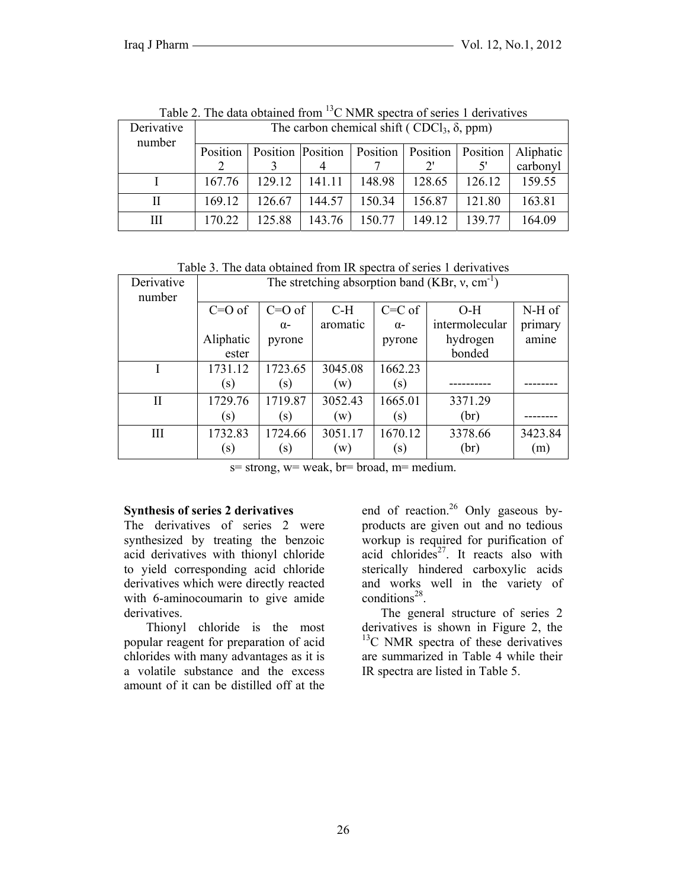| Derivative<br>number | The carbon chemical shift (CDCl <sub>3</sub> , $\delta$ , ppm) |        |                   |                                   |              |        |           |
|----------------------|----------------------------------------------------------------|--------|-------------------|-----------------------------------|--------------|--------|-----------|
|                      | Position                                                       |        | Position Position | <b>Position</b> Position Position |              |        | Aliphatic |
|                      |                                                                |        |                   |                                   | $2^{\prime}$ |        | carbonyl  |
|                      | 167.76                                                         | 129.12 | 141.11            | 148.98                            | 128.65       | 126.12 | 159.55    |
| Н                    | 169.12                                                         | 126.67 | 144.57            | 150.34                            | 156.87       | 121.80 | 163.81    |
| Ш                    | 170.22                                                         | 125.88 | 143.76            | 150.77                            | 149.12       | 139.77 | 164.09    |

Table 2. The data obtained from <sup>13</sup>C NMR spectra of series 1 derivatives

Table 3. The data obtained from IR spectra of series 1 derivatives

| Derivative<br>number | The stretching absorption band (KBr, $v$ , cm <sup>-1</sup> ) |            |                |            |                |         |  |
|----------------------|---------------------------------------------------------------|------------|----------------|------------|----------------|---------|--|
|                      | $C=O$ of                                                      | $C=O$ of   | $C-H$          | $C=C$ of   | $O-H$          | N-H of  |  |
|                      |                                                               | $\alpha$ - | aromatic       | $\alpha$ - | intermolecular | primary |  |
|                      | Aliphatic                                                     | pyrone     |                | pyrone     | hydrogen       | amine   |  |
|                      | ester                                                         |            |                |            | bonded         |         |  |
|                      | 1731.12                                                       | 1723.65    | 3045.08        | 1662.23    |                |         |  |
|                      | $\left( s\right)$                                             | (s)        | (w)            | (s)        |                |         |  |
| П                    | 1729.76                                                       | 1719.87    | 3052.43        | 1665.01    | 3371.29        |         |  |
|                      | (s)                                                           | (s)        | (w)            | (s)        | (br)           |         |  |
| III                  | 1732.83                                                       | 1724.66    | 3051.17        | 1670.12    | 3378.66        | 3423.84 |  |
|                      | $\left( s\right)$                                             | (s)        | $(\mathrm{w})$ | (s)        | (br)           | (m)     |  |

 $s=$  strong,  $w=$  weak,  $br=$  broad,  $m=$  medium.

#### **Synthesis of series 2 derivatives**

The derivatives of series 2 were synthesized by treating the benzoic acid derivatives with thionyl chloride to yield corresponding acid chloride derivatives which were directly reacted with 6-aminocoumarin to give amide derivatives.

 Thionyl chloride is the most popular reagent for preparation of acid chlorides with many advantages as it is a volatile substance and the excess amount of it can be distilled off at the end of reaction.<sup>26</sup> Only gaseous byproducts are given out and no tedious workup is required for purification of acid chlorides $27$ . It reacts also with sterically hindered carboxylic acids and works well in the variety of conditions $28$ .

 The general structure of series 2 derivatives is shown in Figure 2, the <sup>13</sup>C NMR spectra of these derivatives are summarized in Table 4 while their IR spectra are listed in Table 5.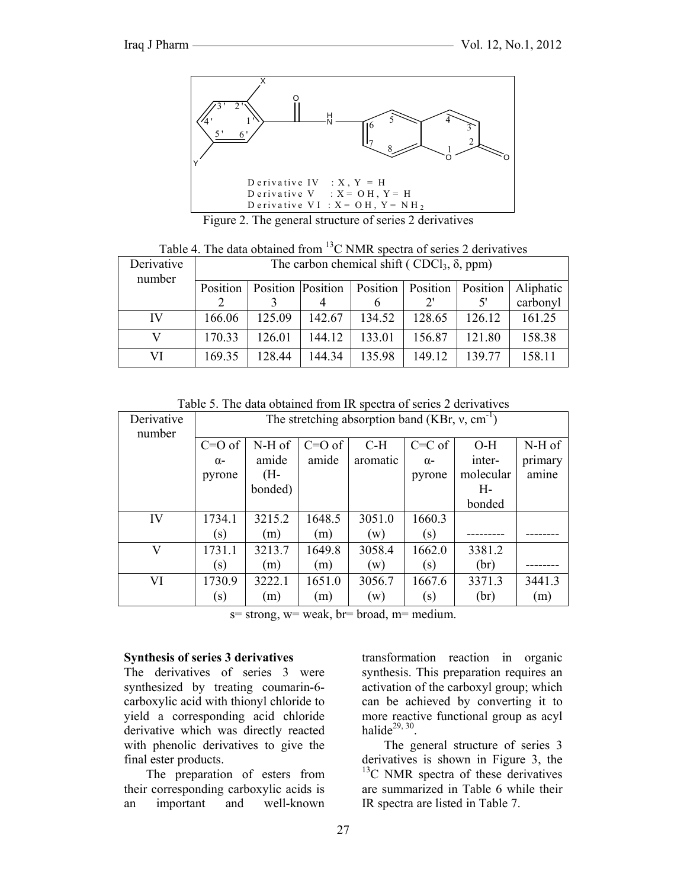

Figure 2. The general structure of series 2 derivatives

|  |  | Table 4. The data obtained from <sup>13</sup> C NMR spectra of series 2 derivatives |  |  |  |
|--|--|-------------------------------------------------------------------------------------|--|--|--|
|  |  |                                                                                     |  |  |  |

| Derivative<br>number | The carbon chemical shift (CDCl <sub>3</sub> , $\delta$ , ppm) |                   |        |                     |        |          |           |
|----------------------|----------------------------------------------------------------|-------------------|--------|---------------------|--------|----------|-----------|
|                      | Position                                                       | Position Position |        | Position   Position |        | Position | Aliphatic |
|                      |                                                                |                   |        |                     |        |          | carbonyl  |
| IV                   | 166.06                                                         | 125.09            | 142.67 | 134.52              | 128.65 | 126.12   | 161.25    |
|                      | 170.33                                                         | 126.01            | 144.12 | 133.01              | 156.87 | 121.80   | 158.38    |
| VI                   | 169.35                                                         | 128.44            | 144.34 | 135.98              | 149.12 | 139.77   | 158.11    |

Table 5. The data obtained from IR spectra of series 2 derivatives

| Derivative<br>number |            | The stretching absorption band (KBr, $v$ , cm <sup>-1</sup> ) |          |          |            |           |         |
|----------------------|------------|---------------------------------------------------------------|----------|----------|------------|-----------|---------|
|                      | $C=O$ of   | N-H of                                                        | $C=O$ of | $C-H$    | $C=C$ of   | $O-H$     | N-H of  |
|                      | $\alpha$ - | amide                                                         | amide    | aromatic | $\alpha$ - | inter-    | primary |
|                      | pyrone     | (H-                                                           |          |          | pyrone     | molecular | amine   |
|                      |            | bonded)                                                       |          |          |            | $H-$      |         |
|                      |            |                                                               |          |          |            | bonded    |         |
| IV                   | 1734.1     | 3215.2                                                        | 1648.5   | 3051.0   | 1660.3     |           |         |
|                      | (s)        | (m)                                                           | (m)      | (w)      | (s)        |           |         |
| V                    | 1731.1     | 3213.7                                                        | 1649.8   | 3058.4   | 1662.0     | 3381.2    |         |
|                      | (s)        | (m)                                                           | (m)      | (w)      | (s)        | (br)      |         |
| VI                   | 1730.9     | 3222.1                                                        | 1651.0   | 3056.7   | 1667.6     | 3371.3    | 3441.3  |
|                      | (s)        | (m)                                                           | (m)      | (w)      | (s)        | (br)      | (m)     |

 $s=$  strong,  $w=$  weak,  $br=$  broad,  $m=$  medium.

#### **Synthesis of series 3 derivatives**

The derivatives of series 3 were synthesized by treating coumarin-6 carboxylic acid with thionyl chloride to yield a corresponding acid chloride derivative which was directly reacted with phenolic derivatives to give the final ester products.

 The preparation of esters from their corresponding carboxylic acids is an important and well-known

 The general structure of series 3 derivatives is shown in Figure 3, the  $13^{\circ}$ C NMR spectra of these derivatives are summarized in Table 6 while their

IR spectra are listed in Table 7.

halide $^{29, 30}$ .

transformation reaction in organic synthesis. This preparation requires an activation of the carboxyl group; which can be achieved by converting it to more reactive functional group as acyl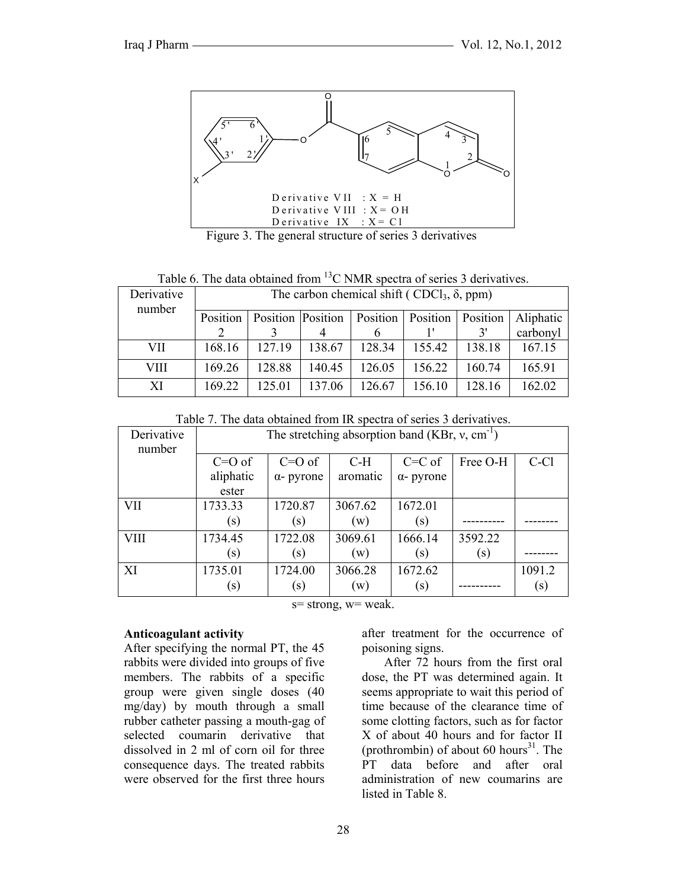

Figure 3. The general structure of series 3 derivatives

Table 6. The data obtained from  ${}^{13}$ C NMR spectra of series 3 derivatives.

| Derivative<br>number | The carbon chemical shift (CDCl <sub>3</sub> , $\delta$ , ppm) |        |        |                                                           |        |        |           |
|----------------------|----------------------------------------------------------------|--------|--------|-----------------------------------------------------------|--------|--------|-----------|
|                      | Position                                                       |        |        | <b>Position Position   Position   Position   Position</b> |        |        | Aliphatic |
|                      |                                                                |        |        |                                                           |        | 3'     | carbonyl  |
| VII                  | 168.16                                                         | 127.19 | 138.67 | 128.34                                                    | 155.42 | 138.18 | 167.15    |
| VIII                 | 169.26                                                         | 128.88 | 140.45 | 126.05                                                    | 156.22 | 160.74 | 165.91    |
| XI                   | 169.22                                                         | 125.01 | 137.06 | 126.67                                                    | 156.10 | 128.16 | 162.02    |

Table 7. The data obtained from IR spectra of series 3 derivatives.

| Derivative<br>number | The stretching absorption band (KBr, $v$ , cm <sup>-1</sup> ) |                   |                |                   |          |        |
|----------------------|---------------------------------------------------------------|-------------------|----------------|-------------------|----------|--------|
|                      | $C=O$ of                                                      | $C=O$ of          | $C-H$          | $C=C$ of          | Free O-H | C-Cl   |
|                      | aliphatic<br>ester                                            | $\alpha$ - pyrone | aromatic       | $\alpha$ - pyrone |          |        |
| <b>VII</b>           | 1733.33                                                       | 1720.87           | 3067.62        | 1672.01           |          |        |
|                      | (s)                                                           | (s)               | (w)            | (s)               |          |        |
| <b>VIII</b>          | 1734.45                                                       | 1722.08           | 3069.61        | 1666.14           | 3592.22  |        |
|                      | (s)                                                           | (s)               | (w)            | (s)               | (s)      |        |
| XI                   | 1735.01                                                       | 1724.00           | 3066.28        | 1672.62           |          | 1091.2 |
|                      | (s)                                                           | (s)               | $(\mathrm{w})$ | (s)               |          | (s)    |

 $s=$  strong,  $w=$  weak.

#### **Anticoagulant activity**

After specifying the normal PT, the 45 rabbits were divided into groups of five members. The rabbits of a specific group were given single doses (40 mg/day) by mouth through a small rubber catheter passing a mouth-gag of selected coumarin derivative that dissolved in 2 ml of corn oil for three consequence days. The treated rabbits were observed for the first three hours after treatment for the occurrence of poisoning signs.

 After 72 hours from the first oral dose, the PT was determined again. It seems appropriate to wait this period of time because of the clearance time of some clotting factors, such as for factor X of about 40 hours and for factor II (prothrombin) of about 60 hours<sup>31</sup>. The PT data before and after oral administration of new coumarins are listed in Table 8.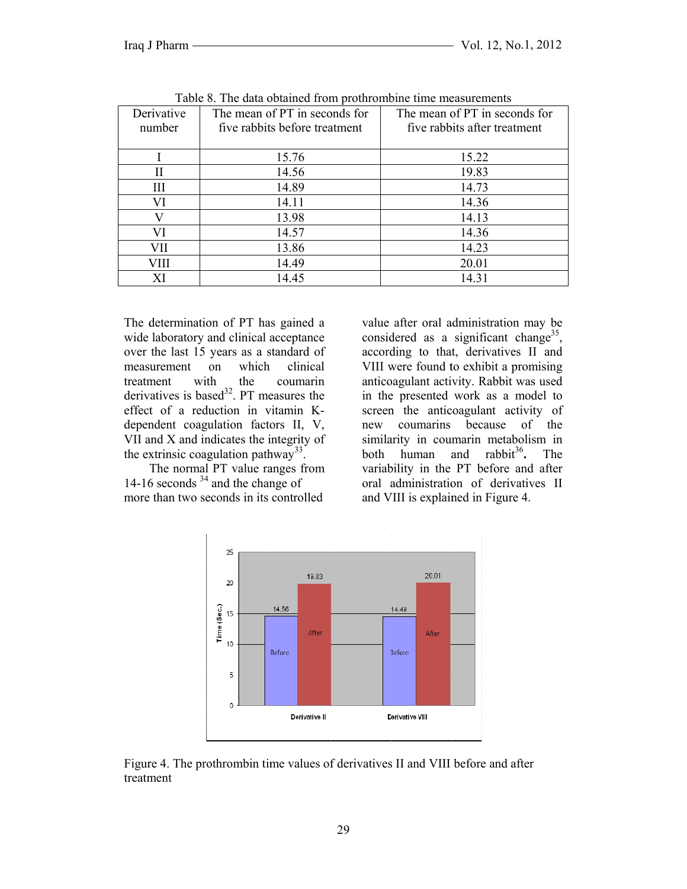|            | Tuble 0. The data columned from productification inclusion emergines |                               |  |  |  |  |  |  |
|------------|----------------------------------------------------------------------|-------------------------------|--|--|--|--|--|--|
| Derivative | The mean of PT in seconds for                                        | The mean of PT in seconds for |  |  |  |  |  |  |
| number     | five rabbits before treatment                                        | five rabbits after treatment  |  |  |  |  |  |  |
|            |                                                                      |                               |  |  |  |  |  |  |
|            | 15.76                                                                | 15.22                         |  |  |  |  |  |  |
| Н          | 14.56                                                                | 19.83                         |  |  |  |  |  |  |
| Ш          | 14.89                                                                | 14.73                         |  |  |  |  |  |  |
| VI         | 14.11                                                                | 14.36                         |  |  |  |  |  |  |
|            | 13.98                                                                | 14.13                         |  |  |  |  |  |  |
| VI         | 14.57                                                                | 14.36                         |  |  |  |  |  |  |
| VII        | 13.86                                                                | 14.23                         |  |  |  |  |  |  |
| VIII       | 14.49                                                                | 20.01                         |  |  |  |  |  |  |
|            | 14.45                                                                | 14.31                         |  |  |  |  |  |  |

Table 8. The data obtained from prothrombine time measurements

The determination of PT has gained a wide laboratory and clinical acceptance over the last 15 years as a standard of measurement on which clinical with the coumarin treatment derivatives is based<sup>32</sup>. PT measures the effect of a reduction in vitamin Kdependent coagulation factors II, V, VII and X and indicates the integrity of the extrinsic coagulation pathway<sup>33</sup>.

The normal PT value ranges from 14-16 seconds  $34$  and the change of more than two seconds in its controlled

value after oral administration may be considered as a significant change<sup>35</sup>, according to that, derivatives II and VIII were found to exhibit a promising anticoagulant activity. Rabbit was used in the presented work as a model to screen the anticoagulant activity of new coumaring because of the similarity in coumarin metabolism in human and rabbit<sup>36</sup>. both The variability in the PT before and after oral administration of derivatives II and VIII is explained in Figure 4.



Figure 4. The prothrombin time values of derivatives II and VIII before and after treatment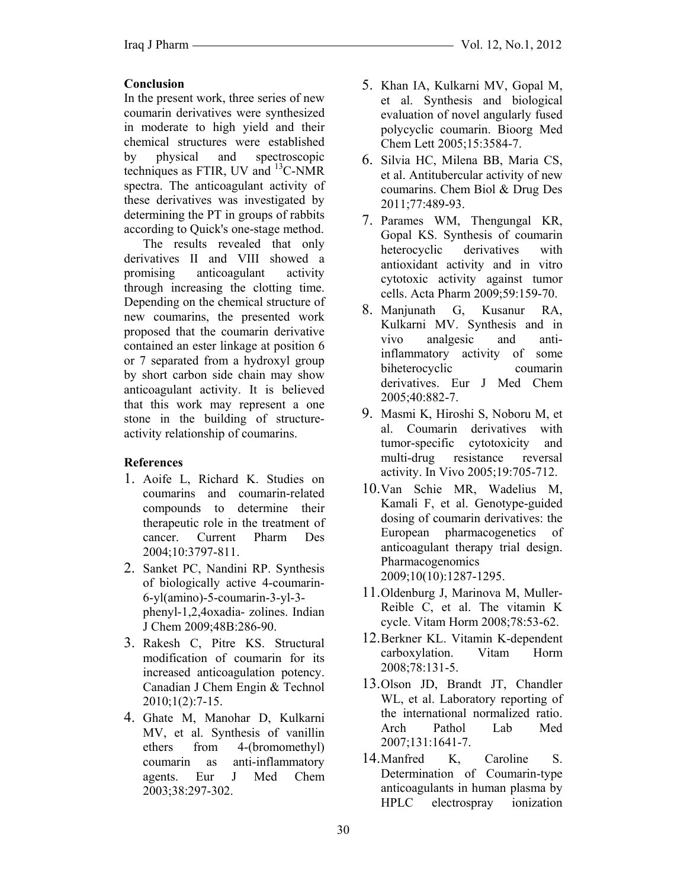## **Conclusion**

In the present work, three series of new coumarin derivatives were synthesized in moderate to high yield and their chemical structures were established by physical and spectroscopic techniques as FTIR, UV and  $^{13}$ C-NMR spectra. The anticoagulant activity of these derivatives was investigated by determining the PT in groups of rabbits according to Quick's one-stage method.

 The results revealed that only derivatives II and VIII showed a promising anticoagulant activity through increasing the clotting time. Depending on the chemical structure of new coumarins, the presented work proposed that the coumarin derivative contained an ester linkage at position 6 or 7 separated from a hydroxyl group by short carbon side chain may show anticoagulant activity. It is believed that this work may represent a one stone in the building of structureactivity relationship of coumarins.

### **References**

- 1. Aoife L, Richard K. Studies on coumarins and coumarin-related compounds to determine their therapeutic role in the treatment of cancer. Current Pharm Des 2004;10:3797-811.
- 2. Sanket PC, Nandini RP. Synthesis of biologically active 4-coumarin-6-yl(amino)-5-coumarin-3-yl-3 phenyl-1,2,4oxadia- zolines. Indian J Chem 2009;48B:286-90.
- 3. Rakesh C, Pitre KS. Structural modification of coumarin for its increased anticoagulation potency. Canadian J Chem Engin & Technol 2010;1(2):7-15.
- 4. Ghate M, Manohar D, Kulkarni MV, et al. Synthesis of vanillin ethers from 4-(bromomethyl) coumarin as anti-inflammatory agents. Eur J Med Chem 2003;38:297-302.
- 5. Khan IA, Kulkarni MV, Gopal M, et al. Synthesis and biological evaluation of novel angularly fused polycyclic coumarin. Bioorg Med Chem Lett 2005;15:3584-7.
- 6. Silvia HC, Milena BB, Maria CS, et al. Antitubercular activity of new coumarins. Chem Biol & Drug Des 2011;77:489-93.
- 7. Parames WM, Thengungal KR, Gopal KS. Synthesis of coumarin heterocyclic derivatives with antioxidant activity and in vitro cytotoxic activity against tumor cells. Acta Pharm 2009;59:159-70.
- 8. Manjunath G, Kusanur RA, Kulkarni MV. Synthesis and in vivo analgesic and antiinflammatory activity of some biheterocyclic coumarin derivatives. Eur J Med Chem 2005;40:882-7.
- 9. Masmi K, Hiroshi S, Noboru M, et al. Coumarin derivatives with tumor-specific cytotoxicity and multi-drug resistance reversal activity. In Vivo 2005;19:705-712.
- 10.Van Schie MR, Wadelius M, Kamali F, et al. Genotype-guided dosing of coumarin derivatives: the European pharmacogenetics of anticoagulant therapy trial design. Pharmacogenomics 2009;10(10):1287-1295.
- 11.Oldenburg J, Marinova M, Muller-Reible C, et al. The vitamin K cycle. Vitam Horm 2008;78:53-62.
- 12.Berkner KL. Vitamin K-dependent carboxylation. Vitam Horm 2008;78:131-5.
- 13.Olson JD, Brandt JT, Chandler WL, et al. Laboratory reporting of the international normalized ratio. Arch Pathol Lab Med 2007;131:1641-7.
- 14.Manfred K, Caroline S. Determination of Coumarin-type anticoagulants in human plasma by HPLC electrospray ionization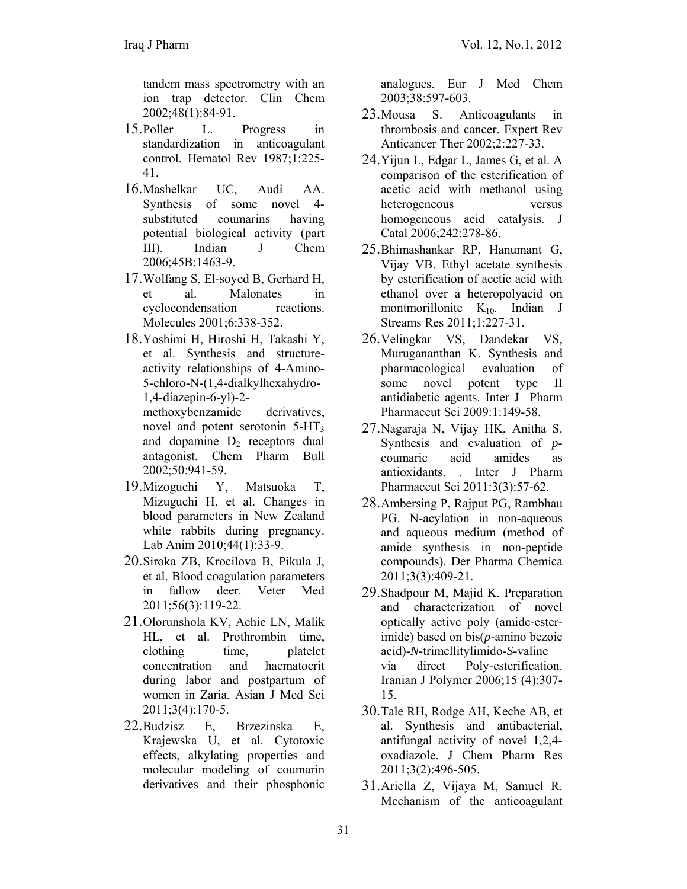tandem mass spectrometry with an ion trap detector. Clin Chem 2002;48(1):84-91.

- 15.Poller L. Progress in standardization in anticoagulant control. Hematol Rev 1987;1:225- 41.
- 16.Mashelkar UC, Audi AA. Synthesis of some novel 4 substituted coumarins having potential biological activity (part III). Indian J Chem 2006;45B:1463-9.
- 17.Wolfang S, El-soyed B, Gerhard H, et al. Malonates in cyclocondensation reactions. Molecules 2001;6:338-352.
- 18.Yoshimi H, Hiroshi H, Takashi Y, et al. Synthesis and structureactivity relationships of 4-Amino-5-chloro-N-(1,4-dialkylhexahydro-1,4-diazepin-6-yl)-2 methoxybenzamide derivatives, novel and potent serotonin 5-HT3 and dopamine  $D_2$  receptors dual antagonist. Chem Pharm Bull 2002;50:941-59.
- 19.Mizoguchi Y, Matsuoka T, Mizuguchi H, et al. Changes in blood parameters in New Zealand white rabbits during pregnancy. Lab Anim 2010;44(1):33-9.
- 20.Siroka ZB, Krocilova B, Pikula J, et al. Blood coagulation parameters in fallow deer. Veter Med 2011;56(3):119-22.
- 21.Olorunshola KV, Achie LN, Malik HL, et al. Prothrombin time, clothing time, platelet concentration and haematocrit during labor and postpartum of women in Zaria. Asian J Med Sci 2011;3(4):170-5.
- 22.Budzisz E, Brzezinska E, Krajewska U, et al. Cytotoxic effects, alkylating properties and molecular modeling of coumarin derivatives and their phosphonic

analogues. Eur J Med Chem 2003;38:597-603.

- 23.Mousa S. Anticoagulants in thrombosis and cancer. Expert Rev Anticancer Ther 2002;2:227-33.
- 24.Yijun L, Edgar L, James G, et al. A comparison of the esterification of acetic acid with methanol using heterogeneous versus homogeneous acid catalysis. J Catal 2006;242:278-86.
- 25.Bhimashankar RP, Hanumant G, Vijay VB. Ethyl acetate synthesis by esterification of acetic acid with ethanol over a heteropolyacid on montmorillonite  $K_{10}$ . Indian J Streams Res 2011;1:227-31.
- 26.Velingkar VS, Dandekar VS, Murugananthan K. Synthesis and pharmacological evaluation of some novel potent type II antidiabetic agents. Inter J Pharm Pharmaceut Sci 2009:1:149-58.
- 27.Nagaraja N, Vijay HK, Anitha S. Synthesis and evaluation of *p*coumaric acid amides as antioxidants. . Inter J Pharm Pharmaceut Sci 2011:3(3):57-62.
- 28.Ambersing P, Rajput PG, Rambhau PG. N-acylation in non-aqueous and aqueous medium (method of amide synthesis in non-peptide compounds). Der Pharma Chemica 2011;3(3):409-21.
- 29.Shadpour M, Majid K. Preparation and characterization of novel optically active poly (amide-esterimide) based on bis(*p*-amino bezoic acid)-*N*-trimellitylimido-*S*-valine via direct Poly-esterification. Iranian J Polymer 2006;15 (4):307- 15.
- 30.Tale RH, Rodge AH, Keche AB, et al. Synthesis and antibacterial, antifungal activity of novel 1,2,4 oxadiazole. J Chem Pharm Res 2011;3(2):496-505.
- 31.Ariella Z, Vijaya M, Samuel R. Mechanism of the anticoagulant